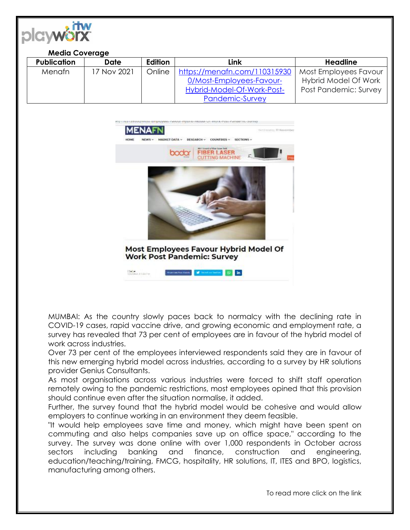

## **Media Coverage**

| <b>Publication</b> | Date        | <b>Edition</b> | Link                         | Headline              |
|--------------------|-------------|----------------|------------------------------|-----------------------|
| <b>Menafn</b>      | 17 Nov 2021 | Online         | https://menafn.com/110315930 | Most Employees Favour |
|                    |             |                | 0/Most-Employees-Favour-     | Hybrid Model Of Work  |
|                    |             |                | Hybrid-Model-Of-Work-Post-   | Post Pandemic: Survey |
|                    |             |                | <b>Pandemic-Survey</b>       |                       |



MUMBAI: As the country slowly paces back to normalcy with the declining rate in COVID-19 cases, rapid vaccine drive, and growing economic and employment rate, a survey has revealed that 73 per cent of employees are in favour of the hybrid model of work across industries.

Over 73 per cent of the employees interviewed respondents said they are in favour of this new emerging hybrid model across industries, according to a survey by HR solutions provider Genius Consultants.

As most organisations across various industries were forced to shift staff operation remotely owing to the pandemic restrictions, most employees opined that this provision should continue even after the situation normalise, it added.

Further, the survey found that the hybrid model would be cohesive and would allow employers to continue working in an environment they deem feasible.

"It would help employees save time and money, which might have been spent on commuting and also helps companies save up on office space," according to the survey. The survey was done online with over 1,000 respondents in October across sectors including banking and finance, construction and engineering, education/teaching/training, FMCG, hospitality, HR solutions, IT, ITES and BPO, logistics, manufacturing among others.

To read more click on the link